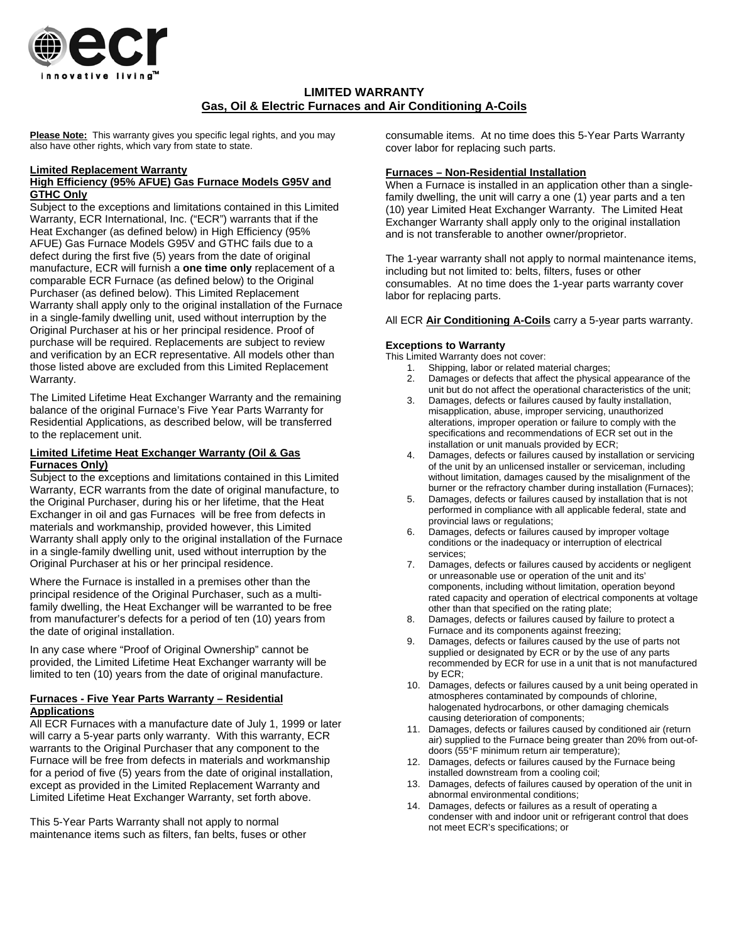

# **LIMITED WARRANTY Gas, Oil & Electric Furnaces and Air Conditioning A-Coils**

**Please Note:** This warranty gives you specific legal rights, and you may also have other rights, which vary from state to state.

#### **Limited Replacement Warranty**

### **High Efficiency (95% AFUE) Gas Furnace Models G95V and GTHC Only**

Subject to the exceptions and limitations contained in this Limited Warranty, ECR International, Inc. ("ECR") warrants that if the Heat Exchanger (as defined below) in High Efficiency (95% AFUE) Gas Furnace Models G95V and GTHC fails due to a defect during the first five (5) years from the date of original manufacture, ECR will furnish a **one time only** replacement of a comparable ECR Furnace (as defined below) to the Original Purchaser (as defined below). This Limited Replacement Warranty shall apply only to the original installation of the Furnace in a single-family dwelling unit, used without interruption by the Original Purchaser at his or her principal residence. Proof of purchase will be required. Replacements are subject to review and verification by an ECR representative. All models other than those listed above are excluded from this Limited Replacement Warranty.

The Limited Lifetime Heat Exchanger Warranty and the remaining balance of the original Furnace's Five Year Parts Warranty for Residential Applications, as described below, will be transferred to the replacement unit.

## **Limited Lifetime Heat Exchanger Warranty (Oil & Gas Furnaces Only)**

Subject to the exceptions and limitations contained in this Limited Warranty, ECR warrants from the date of original manufacture, to the Original Purchaser, during his or her lifetime, that the Heat Exchanger in oil and gas Furnaces will be free from defects in materials and workmanship, provided however, this Limited Warranty shall apply only to the original installation of the Furnace in a single-family dwelling unit, used without interruption by the Original Purchaser at his or her principal residence.

Where the Furnace is installed in a premises other than the principal residence of the Original Purchaser, such as a multifamily dwelling, the Heat Exchanger will be warranted to be free from manufacturer's defects for a period of ten (10) years from the date of original installation.

In any case where "Proof of Original Ownership" cannot be provided, the Limited Lifetime Heat Exchanger warranty will be limited to ten (10) years from the date of original manufacture.

## **Furnaces - Five Year Parts Warranty – Residential Applications**

All ECR Furnaces with a manufacture date of July 1, 1999 or later will carry a 5-year parts only warranty. With this warranty, ECR warrants to the Original Purchaser that any component to the Furnace will be free from defects in materials and workmanship for a period of five (5) years from the date of original installation, except as provided in the Limited Replacement Warranty and Limited Lifetime Heat Exchanger Warranty, set forth above.

This 5-Year Parts Warranty shall not apply to normal maintenance items such as filters, fan belts, fuses or other consumable items. At no time does this 5-Year Parts Warranty cover labor for replacing such parts.

## **Furnaces – Non-Residential Installation**

When a Furnace is installed in an application other than a singlefamily dwelling, the unit will carry a one (1) year parts and a ten (10) year Limited Heat Exchanger Warranty. The Limited Heat Exchanger Warranty shall apply only to the original installation and is not transferable to another owner/proprietor.

The 1-year warranty shall not apply to normal maintenance items, including but not limited to: belts, filters, fuses or other consumables. At no time does the 1-year parts warranty cover labor for replacing parts.

All ECR **Air Conditioning A-Coils** carry a 5-year parts warranty.

## **Exceptions to Warranty**

This Limited Warranty does not cover:

- 1. Shipping, labor or related material charges;
- 2. Damages or defects that affect the physical appearance of the unit but do not affect the operational characteristics of the unit;
- 3. Damages, defects or failures caused by faulty installation, misapplication, abuse, improper servicing, unauthorized alterations, improper operation or failure to comply with the specifications and recommendations of ECR set out in the installation or unit manuals provided by ECR;
- 4. Damages, defects or failures caused by installation or servicing of the unit by an unlicensed installer or serviceman, including without limitation, damages caused by the misalignment of the burner or the refractory chamber during installation (Furnaces);
- 5. Damages, defects or failures caused by installation that is not performed in compliance with all applicable federal, state and provincial laws or regulations;
- 6. Damages, defects or failures caused by improper voltage conditions or the inadequacy or interruption of electrical services;
- 7. Damages, defects or failures caused by accidents or negligent or unreasonable use or operation of the unit and its' components, including without limitation, operation beyond rated capacity and operation of electrical components at voltage other than that specified on the rating plate;
- 8. Damages, defects or failures caused by failure to protect a Furnace and its components against freezing;
- 9. Damages, defects or failures caused by the use of parts not supplied or designated by ECR or by the use of any parts recommended by ECR for use in a unit that is not manufactured by ECR;
- 10. Damages, defects or failures caused by a unit being operated in atmospheres contaminated by compounds of chlorine, halogenated hydrocarbons, or other damaging chemicals causing deterioration of components;
- 11. Damages, defects or failures caused by conditioned air (return air) supplied to the Furnace being greater than 20% from out-ofdoors (55°F minimum return air temperature);
- 12. Damages, defects or failures caused by the Furnace being installed downstream from a cooling coil;
- 13. Damages, defects of failures caused by operation of the unit in abnormal environmental conditions;
- 14. Damages, defects or failures as a result of operating a condenser with and indoor unit or refrigerant control that does not meet ECR's specifications; or